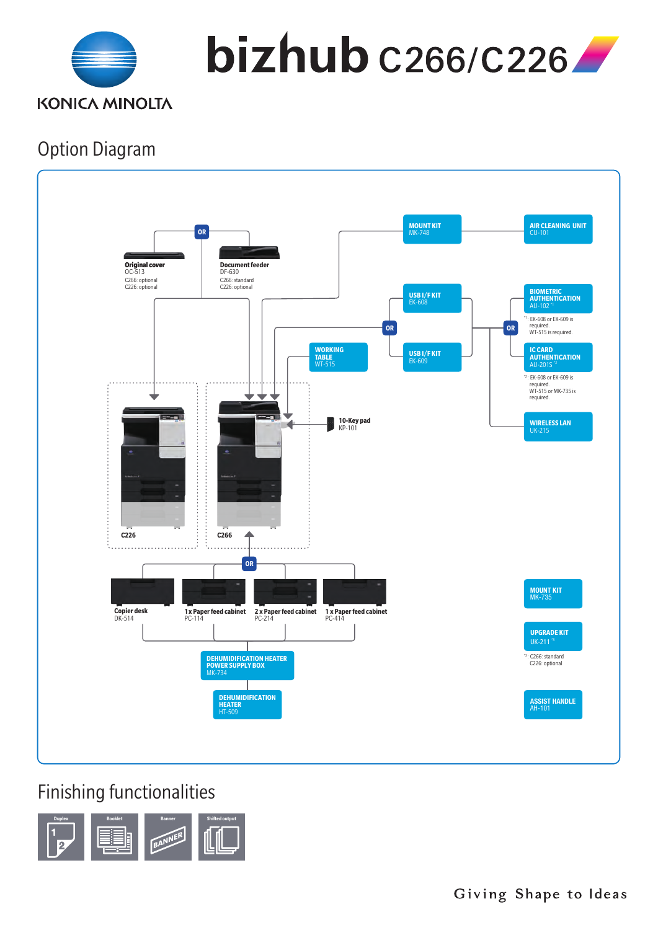

 $bizhub$   $c$ 266/ $c$ 226

## Option Diagram



## Finishing functionalities